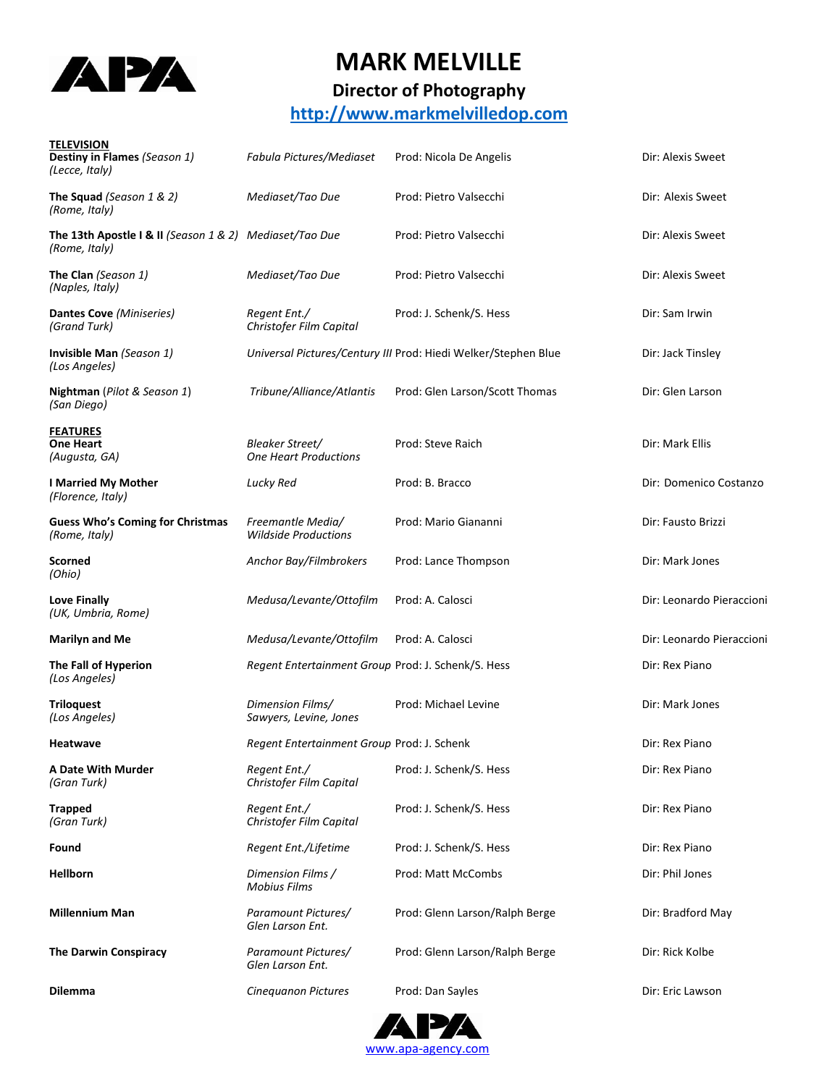

## **MARK MELVILLE**

## **Director of Photography**

### **[http://www.markmelvilledop.com](http://www.markmelvilledop.com/)**

| <b>TELEVISION</b><br>Destiny in Flames (Season 1)<br>(Lecce, Italy)      | Fabula Pictures/Mediaset                           | Prod: Nicola De Angelis                                        | Dir: Alexis Sweet         |
|--------------------------------------------------------------------------|----------------------------------------------------|----------------------------------------------------------------|---------------------------|
| The Squad (Season 1 & 2)<br>(Rome, Italy)                                | Mediaset/Tao Due                                   | Prod: Pietro Valsecchi                                         | Dir: Alexis Sweet         |
| The 13th Apostle I & II (Season 1 & 2) Mediaset/Tao Due<br>(Rome, Italy) |                                                    | Prod: Pietro Valsecchi                                         | Dir: Alexis Sweet         |
| The Clan (Season 1)<br>(Naples, Italy)                                   | Mediaset/Tao Due                                   | Prod: Pietro Valsecchi                                         | Dir: Alexis Sweet         |
| Dantes Cove (Miniseries)<br>(Grand Turk)                                 | Regent Ent./<br>Christofer Film Capital            | Prod: J. Schenk/S. Hess                                        | Dir: Sam Irwin            |
| Invisible Man (Season 1)<br>(Los Angeles)                                |                                                    | Universal Pictures/Century III Prod: Hiedi Welker/Stephen Blue | Dir: Jack Tinsley         |
| Nightman (Pilot & Season 1)<br>(San Diego)                               | Tribune/Alliance/Atlantis                          | Prod: Glen Larson/Scott Thomas                                 | Dir: Glen Larson          |
| <b>FEATURES</b><br><b>One Heart</b><br>(Augusta, GA)                     | Bleaker Street/<br><b>One Heart Productions</b>    | Prod: Steve Raich                                              | Dir: Mark Ellis           |
| <b>I Married My Mother</b><br>(Florence, Italy)                          | Lucky Red                                          | Prod: B. Bracco                                                | Dir: Domenico Costanzo    |
| <b>Guess Who's Coming for Christmas</b><br>(Rome, Italy)                 | Freemantle Media/<br><b>Wildside Productions</b>   | Prod: Mario Giananni                                           | Dir: Fausto Brizzi        |
| Scorned<br>(Ohio)                                                        | Anchor Bay/Filmbrokers                             | Prod: Lance Thompson                                           | Dir: Mark Jones           |
| Love Finally<br>(UK, Umbria, Rome)                                       | Medusa/Levante/Ottofilm                            | Prod: A. Calosci                                               | Dir: Leonardo Pieraccioni |
| <b>Marilyn and Me</b>                                                    | Medusa/Levante/Ottofilm                            | Prod: A. Calosci                                               | Dir: Leonardo Pieraccioni |
| The Fall of Hyperion<br>(Los Angeles)                                    | Regent Entertainment Group Prod: J. Schenk/S. Hess |                                                                | Dir: Rex Piano            |
| <b>Triloquest</b><br>(Los Angeles)                                       | Dimension Films/<br>Sawyers, Levine, Jones         | Prod: Michael Levine                                           | Dir: Mark Jones           |
| <b>Heatwave</b>                                                          | Regent Entertainment Group Prod: J. Schenk         |                                                                | Dir: Rex Piano            |
| A Date With Murder<br>(Gran Turk)                                        | Regent Ent./<br>Christofer Film Capital            | Prod: J. Schenk/S. Hess                                        | Dir: Rex Piano            |
| <b>Trapped</b><br>(Gran Turk)                                            | Regent Ent./<br>Christofer Film Capital            | Prod: J. Schenk/S. Hess                                        | Dir: Rex Piano            |
| Found                                                                    | Regent Ent./Lifetime                               | Prod: J. Schenk/S. Hess                                        | Dir: Rex Piano            |
| <b>Hellborn</b>                                                          | Dimension Films /<br><b>Mobius Films</b>           | Prod: Matt McCombs                                             | Dir: Phil Jones           |
| <b>Millennium Man</b>                                                    | Paramount Pictures/<br>Glen Larson Ent.            | Prod: Glenn Larson/Ralph Berge                                 | Dir: Bradford May         |
| <b>The Darwin Conspiracy</b>                                             | Paramount Pictures/<br>Glen Larson Ent.            | Prod: Glenn Larson/Ralph Berge                                 | Dir: Rick Kolbe           |
| <b>Dilemma</b>                                                           | Cinequanon Pictures                                | Prod: Dan Sayles                                               | Dir: Eric Lawson          |